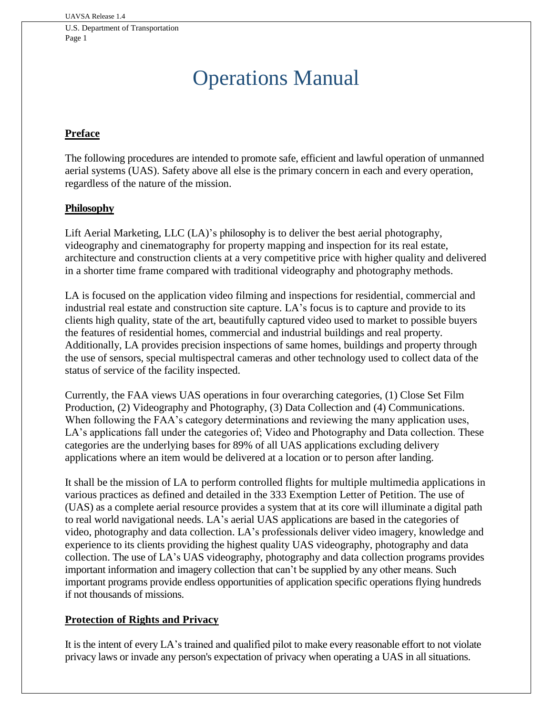# Operations Manual

# **Preface**

The following procedures are intended to promote safe, efficient and lawful operation of unmanned aerial systems (UAS). Safety above all else is the primary concern in each and every operation, regardless of the nature of the mission.

#### **Philosophy**

Lift Aerial Marketing, LLC (LA)'s philosophy is to deliver the best aerial photography, videography and cinematography for property mapping and inspection for its real estate, architecture and construction clients at a very competitive price with higher quality and delivered in a shorter time frame compared with traditional videography and photography methods.

LA is focused on the application video filming and inspections for residential, commercial and industrial real estate and construction site capture. LA's focus is to capture and provide to its clients high quality, state of the art, beautifully captured video used to market to possible buyers the features of residential homes, commercial and industrial buildings and real property. Additionally, LA provides precision inspections of same homes, buildings and property through the use of sensors, special multispectral cameras and other technology used to collect data of the status of service of the facility inspected.

Currently, the FAA views UAS operations in four overarching categories, (1) Close Set Film Production, (2) Videography and Photography, (3) Data Collection and (4) Communications. When following the FAA's category determinations and reviewing the many application uses, LA's applications fall under the categories of; Video and Photography and Data collection. These categories are the underlying bases for 89% of all UAS applications excluding delivery applications where an item would be delivered at a location or to person after landing.

It shall be the mission of LA to perform controlled flights for multiple multimedia applications in various practices as defined and detailed in the 333 Exemption Letter of Petition. The use of (UAS) as a complete aerial resource provides a system that at its core will illuminate a digital path to real world navigational needs. LA's aerial UAS applications are based in the categories of video, photography and data collection. LA's professionals deliver video imagery, knowledge and experience to its clients providing the highest quality UAS videography, photography and data collection. The use of LA's UAS videography, photography and data collection programs provides important information and imagery collection that can't be supplied by any other means. Such important programs provide endless opportunities of application specific operations flying hundreds if not thousands of missions.

#### **Protection of Rights and Privacy**

It is the intent of every LA's trained and qualified pilot to make every reasonable effort to not violate privacy laws or invade any person's expectation of privacy when operating a UAS in all situations.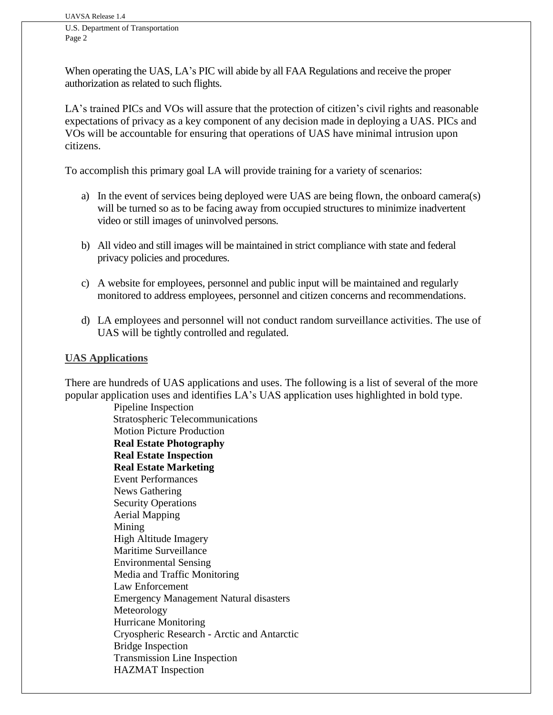When operating the UAS, LA's PIC will abide by all FAA Regulations and receive the proper authorization as related to such flights.

LA's trained PICs and VOs will assure that the protection of citizen's civil rights and reasonable expectations of privacy as a key component of any decision made in deploying a UAS. PICs and VOs will be accountable for ensuring that operations of UAS have minimal intrusion upon citizens.

To accomplish this primary goal LA will provide training for a variety of scenarios:

- a) In the event of services being deployed were UAS are being flown, the onboard camera(s) will be turned so as to be facing away from occupied structures to minimize inadvertent video or still images of uninvolved persons.
- b) All video and still images will be maintained in strict compliance with state and federal privacy policies and procedures.
- c) A website for employees, personnel and public input will be maintained and regularly monitored to address employees, personnel and citizen concerns and recommendations.
- d) LA employees and personnel will not conduct random surveillance activities. The use of UAS will be tightly controlled and regulated.

#### **UAS Applications**

There are hundreds of UAS applications and uses. The following is a list of several of the more popular application uses and identifies LA's UAS application uses highlighted in bold type.

> Pipeline Inspection Stratospheric Telecommunications Motion Picture Production **Real Estate Photography Real Estate Inspection Real Estate Marketing**  Event Performances News Gathering Security Operations Aerial Mapping Mining High Altitude Imagery Maritime Surveillance Environmental Sensing Media and Traffic Monitoring Law Enforcement Emergency Management Natural disasters Meteorology Hurricane Monitoring Cryospheric Research - Arctic and Antarctic Bridge Inspection Transmission Line Inspection HAZMAT Inspection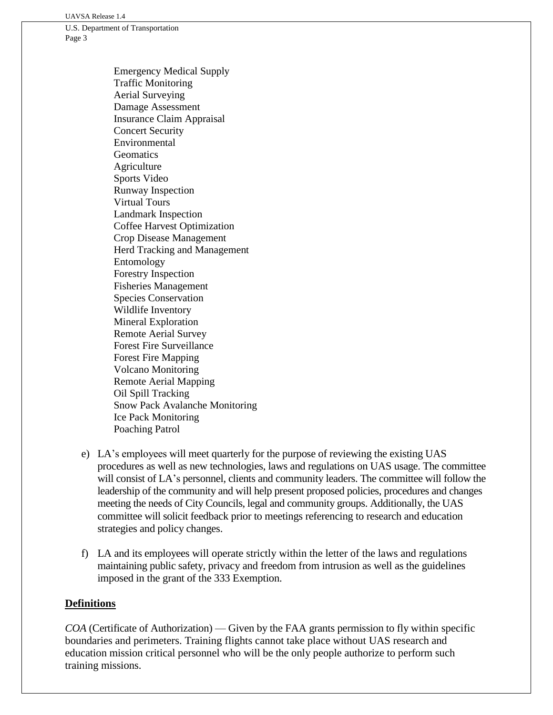UAVSA Release 1.4

U.S. Department of Transportation Page 3

> Emergency Medical Supply Traffic Monitoring Aerial Surveying Damage Assessment Insurance Claim Appraisal Concert Security Environmental **Geomatics** Agriculture Sports Video Runway Inspection Virtual Tours Landmark Inspection Coffee Harvest Optimization Crop Disease Management Herd Tracking and Management Entomology Forestry Inspection Fisheries Management Species Conservation Wildlife Inventory Mineral Exploration Remote Aerial Survey Forest Fire Surveillance Forest Fire Mapping Volcano Monitoring Remote Aerial Mapping Oil Spill Tracking Snow Pack Avalanche Monitoring Ice Pack Monitoring Poaching Patrol

- e) LA's employees will meet quarterly for the purpose of reviewing the existing UAS procedures as well as new technologies, laws and regulations on UAS usage. The committee will consist of LA's personnel, clients and community leaders. The committee will follow the leadership of the community and will help present proposed policies, procedures and changes meeting the needs of City Councils, legal and community groups. Additionally, the UAS committee will solicit feedback prior to meetings referencing to research and education strategies and policy changes.
- f) LA and its employees will operate strictly within the letter of the laws and regulations maintaining public safety, privacy and freedom from intrusion as well as the guidelines imposed in the grant of the 333 Exemption.

#### **Definitions**

*COA* (Certificate of Authorization) — Given by the FAA grants permission to fly within specific boundaries and perimeters. Training flights cannot take place without UAS research and education mission critical personnel who will be the only people authorize to perform such training missions.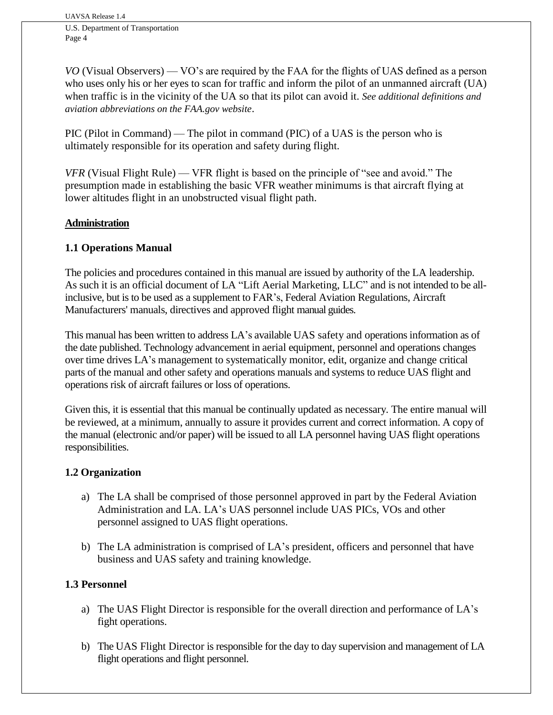*VO* (Visual Observers) — VO's are required by the FAA for the flights of UAS defined as a person who uses only his or her eyes to scan for traffic and inform the pilot of an unmanned aircraft (UA) when traffic is in the vicinity of the UA so that its pilot can avoid it. *See additional definitions and aviation abbreviations on the FAA.gov website*.

PIC (Pilot in Command) — The pilot in command (PIC) of a UAS is the person who is ultimately responsible for its operation and safety during flight.

*VFR* (Visual Flight Rule) — VFR flight is based on the principle of "see and avoid." The presumption made in establishing the basic VFR weather minimums is that aircraft flying at lower altitudes flight in an unobstructed visual flight path.

# **Administration**

# **1.1 Operations Manual**

The policies and procedures contained in this manual are issued by authority of the LA leadership. As such it is an official document of LA "Lift Aerial Marketing, LLC" and is not intended to be allinclusive, but is to be used as a supplement to FAR's, Federal Aviation Regulations, Aircraft Manufacturers' manuals, directives and approved flight manual guides.

This manual has been written to address LA's available UAS safety and operations information as of the date published. Technology advancement in aerial equipment, personnel and operations changes over time drives LA's management to systematically monitor, edit, organize and change critical parts of the manual and other safety and operations manuals and systems to reduce UAS flight and operations risk of aircraft failures or loss of operations.

Given this, it is essential that this manual be continually updated as necessary. The entire manual will be reviewed, at a minimum, annually to assure it provides current and correct information. A copy of the manual (electronic and/or paper) will be issued to all LA personnel having UAS flight operations responsibilities.

# **1.2 Organization**

- a) The LA shall be comprised of those personnel approved in part by the Federal Aviation Administration and LA. LA's UAS personnel include UAS PICs, VOs and other personnel assigned to UAS flight operations.
- b) The LA administration is comprised of LA's president, officers and personnel that have business and UAS safety and training knowledge.

# **1.3 Personnel**

- a) The UAS Flight Director is responsible for the overall direction and performance of LA's fight operations.
- b) The UAS Flight Director is responsible for the day to day supervision and management of LA flight operations and flight personnel.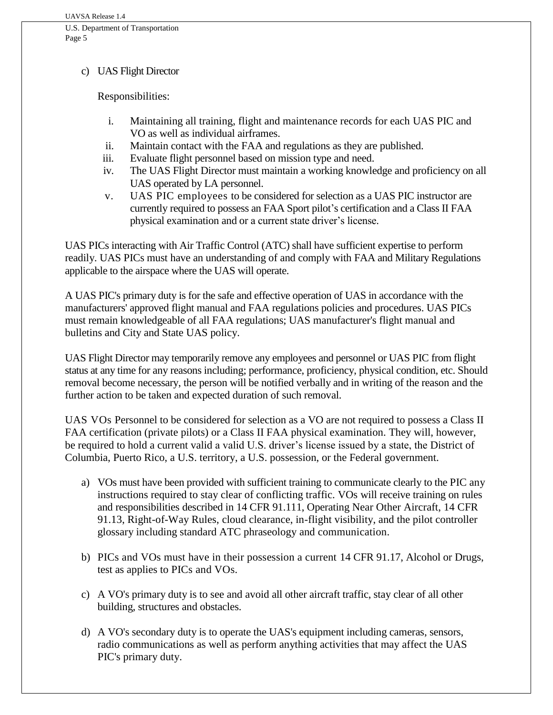#### c) UAS Flight Director

Responsibilities:

- i. Maintaining all training, flight and maintenance records for each UAS PIC and VO as well as individual airframes.
- ii. Maintain contact with the FAA and regulations as they are published.
- iii. Evaluate flight personnel based on mission type and need.
- iv. The UAS Flight Director must maintain a working knowledge and proficiency on all UAS operated by LA personnel.
- v. UAS PIC employees to be considered for selection as a UAS PIC instructor are currently required to possess an FAA Sport pilot's certification and a Class II FAA physical examination and or a current state driver's license.

UAS PICs interacting with Air Traffic Control (ATC) shall have sufficient expertise to perform readily. UAS PICs must have an understanding of and comply with FAA and Military Regulations applicable to the airspace where the UAS will operate.

A UAS PIC's primary duty is for the safe and effective operation of UAS in accordance with the manufacturers' approved flight manual and FAA regulations policies and procedures. UAS PICs must remain knowledgeable of all FAA regulations; UAS manufacturer's flight manual and bulletins and City and State UAS policy.

UAS Flight Director may temporarily remove any employees and personnel or UAS PIC from flight status at any time for any reasons including; performance, proficiency, physical condition, etc. Should removal become necessary, the person will be notified verbally and in writing of the reason and the further action to be taken and expected duration of such removal.

UAS VOs Personnel to be considered for selection as a VO are not required to possess a Class II FAA certification (private pilots) or a Class II FAA physical examination. They will, however, be required to hold a current valid a valid U.S. driver's license issued by a state, the District of Columbia, Puerto Rico, a U.S. territory, a U.S. possession, or the Federal government.

- a) VOs must have been provided with sufficient training to communicate clearly to the PIC any instructions required to stay clear of conflicting traffic. VOs will receive training on rules and responsibilities described in 14 CFR 91.111, Operating Near Other Aircraft, 14 CFR 91.13, Right-of-Way Rules, cloud clearance, in-flight visibility, and the pilot controller glossary including standard ATC phraseology and communication.
- b) PICs and VOs must have in their possession a current 14 CFR 91.17, Alcohol or Drugs, test as applies to PICs and VOs.
- c) A VO's primary duty is to see and avoid all other aircraft traffic, stay clear of all other building, structures and obstacles.
- d) A VO's secondary duty is to operate the UAS's equipment including cameras, sensors, radio communications as well as perform anything activities that may affect the UAS PIC's primary duty.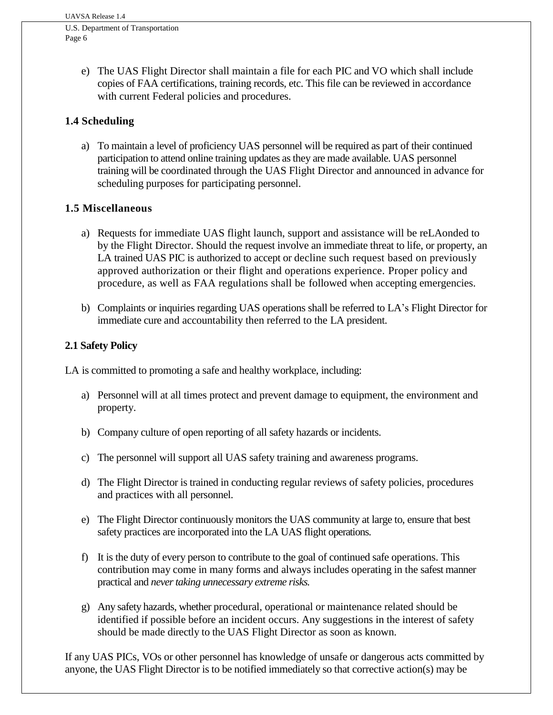- Page 6
	- e) The UAS Flight Director shall maintain a file for each PIC and VO which shall include copies of FAA certifications, training records, etc. This file can be reviewed in accordance with current Federal policies and procedures.

# **1.4 Scheduling**

a) To maintain a level of proficiency UAS personnel will be required as part of their continued participation to attend online training updates as they are made available. UAS personnel training will be coordinated through the UAS Flight Director and announced in advance for scheduling purposes for participating personnel.

# **1.5 Miscellaneous**

- a) Requests for immediate UAS flight launch, support and assistance will be reLAonded to by the Flight Director. Should the request involve an immediate threat to life, or property, an LA trained UAS PIC is authorized to accept or decline such request based on previously approved authorization or their flight and operations experience. Proper policy and procedure, as well as FAA regulations shall be followed when accepting emergencies.
- b) Complaints or inquiries regarding UAS operations shall be referred to LA's Flight Director for immediate cure and accountability then referred to the LA president.

# **2.1 Safety Policy**

LA is committed to promoting a safe and healthy workplace, including:

- a) Personnel will at all times protect and prevent damage to equipment, the environment and property.
- b) Company culture of open reporting of all safety hazards or incidents.
- c) The personnel will support all UAS safety training and awareness programs.
- d) The Flight Director is trained in conducting regular reviews of safety policies, procedures and practices with all personnel.
- e) The Flight Director continuously monitors the UAS community at large to, ensure that best safety practices are incorporated into the LA UAS flight operations.
- f) It is the duty of every person to contribute to the goal of continued safe operations. This contribution may come in many forms and always includes operating in the safest manner practical and *never taking unnecessary extreme risks.*
- g) Any safety hazards, whether procedural, operational or maintenance related should be identified if possible before an incident occurs. Any suggestions in the interest of safety should be made directly to the UAS Flight Director as soon as known.

If any UAS PICs, VOs or other personnel has knowledge of unsafe or dangerous acts committed by anyone, the UAS Flight Director is to be notified immediately so that corrective action(s) may be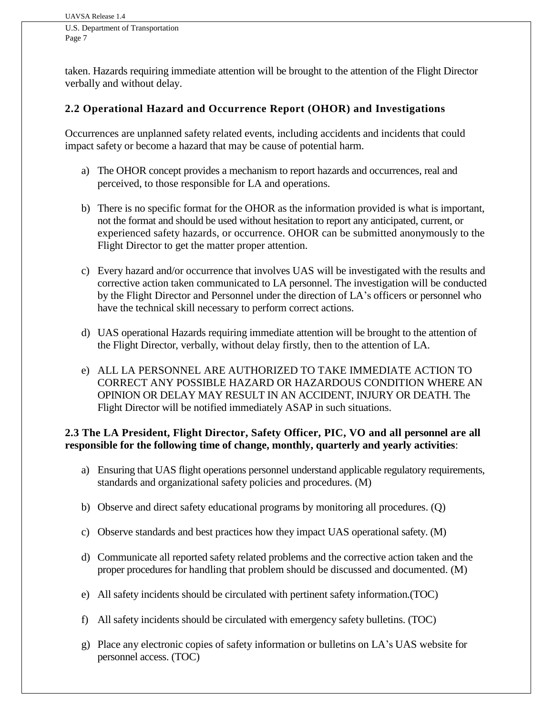taken. Hazards requiring immediate attention will be brought to the attention of the Flight Director verbally and without delay.

# **2.2 Operational Hazard and Occurrence Report (OHOR) and Investigations**

Occurrences are unplanned safety related events, including accidents and incidents that could impact safety or become a hazard that may be cause of potential harm.

- a) The OHOR concept provides a mechanism to report hazards and occurrences, real and perceived, to those responsible for LA and operations.
- b) There is no specific format for the OHOR as the information provided is what is important, not the format and should be used without hesitation to report any anticipated, current, or experienced safety hazards, or occurrence. OHOR can be submitted anonymously to the Flight Director to get the matter proper attention.
- c) Every hazard and/or occurrence that involves UAS will be investigated with the results and corrective action taken communicated to LA personnel. The investigation will be conducted by the Flight Director and Personnel under the direction of LA's officers or personnel who have the technical skill necessary to perform correct actions.
- d) UAS operational Hazards requiring immediate attention will be brought to the attention of the Flight Director, verbally, without delay firstly, then to the attention of LA.
- e) ALL LA PERSONNEL ARE AUTHORIZED TO TAKE IMMEDIATE ACTION TO CORRECT ANY POSSIBLE HAZARD OR HAZARDOUS CONDITION WHERE AN OPINION OR DELAY MAY RESULT IN AN ACCIDENT, INJURY OR DEATH. The Flight Director will be notified immediately ASAP in such situations.

#### **2.3 The LA President, Flight Director, Safety Officer, PIC, VO and all personnel are all responsible for the following time of change, monthly, quarterly and yearly activities**:

- a) Ensuring that UAS flight operations personnel understand applicable regulatory requirements, standards and organizational safety policies and procedures. (M)
- b) Observe and direct safety educational programs by monitoring all procedures. (Q)
- c) Observe standards and best practices how they impact UAS operational safety. (M)
- d) Communicate all reported safety related problems and the corrective action taken and the proper procedures for handling that problem should be discussed and documented. (M)
- e) All safety incidents should be circulated with pertinent safety information.(TOC)
- f) All safety incidents should be circulated with emergency safety bulletins. (TOC)
- g) Place any electronic copies of safety information or bulletins on LA's UAS website for personnel access. (TOC)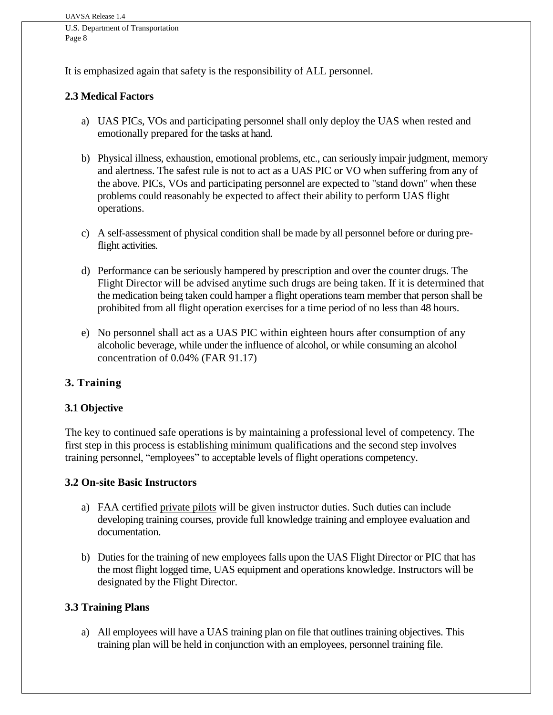It is emphasized again that safety is the responsibility of ALL personnel.

## **2.3 Medical Factors**

- a) UAS PICs, VOs and participating personnel shall only deploy the UAS when rested and emotionally prepared for the tasks at hand.
- b) Physical illness, exhaustion, emotional problems, etc., can seriously impair judgment, memory and alertness. The safest rule is not to act as a UAS PIC or VO when suffering from any of the above. PICs, VOs and participating personnel are expected to "stand down" when these problems could reasonably be expected to affect their ability to perform UAS flight operations.
- c) A self-assessment of physical condition shall be made by all personnel before or during preflight activities.
- d) Performance can be seriously hampered by prescription and over the counter drugs. The Flight Director will be advised anytime such drugs are being taken. If it is determined that the medication being taken could hamper a flight operations team member that person shall be prohibited from all flight operation exercises for a time period of no less than 48 hours.
- e) No personnel shall act as a UAS PIC within eighteen hours after consumption of any alcoholic beverage, while under the influence of alcohol, or while consuming an alcohol concentration of 0.04% (FAR 91.17)

# **3. Training**

#### **3.1 Objective**

The key to continued safe operations is by maintaining a professional level of competency. The first step in this process is establishing minimum qualifications and the second step involves training personnel, "employees" to acceptable levels of flight operations competency.

#### **3.2 On-site Basic Instructors**

- a) FAA certified private pilots will be given instructor duties. Such duties can include developing training courses, provide full knowledge training and employee evaluation and documentation.
- b) Duties for the training of new employees falls upon the UAS Flight Director or PIC that has the most flight logged time, UAS equipment and operations knowledge. Instructors will be designated by the Flight Director.

#### **3.3 Training Plans**

a) All employees will have a UAS training plan on file that outlines training objectives. This training plan will be held in conjunction with an employees, personnel training file.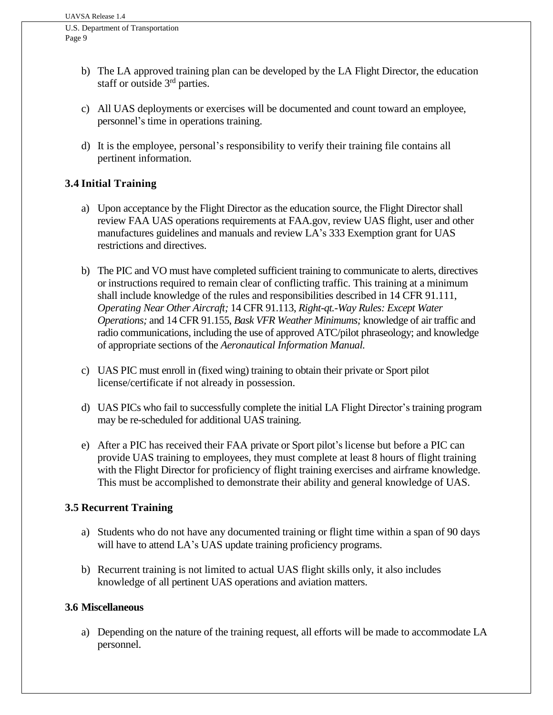- b) The LA approved training plan can be developed by the LA Flight Director, the education staff or outside  $3<sup>rd</sup>$  parties.
- c) All UAS deployments or exercises will be documented and count toward an employee, personnel's time in operations training.
- d) It is the employee, personal's responsibility to verify their training file contains all pertinent information.

# **3.4 Initial Training**

- a) Upon acceptance by the Flight Director as the education source, the Flight Director shall review FAA UAS operations requirements at FAA.gov, review UAS flight, user and other manufactures guidelines and manuals and review LA's 333 Exemption grant for UAS restrictions and directives.
- b) The PIC and VO must have completed sufficient training to communicate to alerts, directives or instructions required to remain clear of conflicting traffic. This training at a minimum shall include knowledge of the rules and responsibilities described in 14 CFR 91.111, *Operating Near Other Aircraft;* 14 CFR 91.113, *Right-qt.-Way Rules: Except Water Operations;* and 14 CFR 91.155, *Bask VFR Weather Minimums;* knowledge of air traffic and radio communications, including the use of approved ATC/pilot phraseology; and knowledge of appropriate sections of the *Aeronautical Information Manual.*
- c) UAS PIC must enroll in (fixed wing) training to obtain their private or Sport pilot license/certificate if not already in possession.
- d) UAS PICs who fail to successfully complete the initial LA Flight Director's training program may be re-scheduled for additional UAS training.
- e) After a PIC has received their FAA private or Sport pilot's license but before a PIC can provide UAS training to employees, they must complete at least 8 hours of flight training with the Flight Director for proficiency of flight training exercises and airframe knowledge. This must be accomplished to demonstrate their ability and general knowledge of UAS.

#### **3.5 Recurrent Training**

- a) Students who do not have any documented training or flight time within a span of 90 days will have to attend LA's UAS update training proficiency programs.
- b) Recurrent training is not limited to actual UAS flight skills only, it also includes knowledge of all pertinent UAS operations and aviation matters.

#### **3.6 Miscellaneous**

a) Depending on the nature of the training request, all efforts will be made to accommodate LA personnel.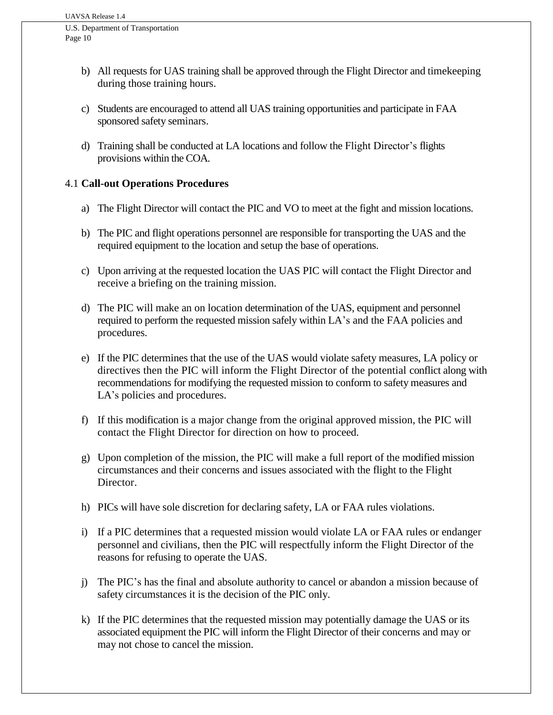- b) All requests for UAS training shall be approved through the Flight Director and timekeeping during those training hours.
- c) Students are encouraged to attend all UAS training opportunities and participate in FAA sponsored safety seminars.
- d) Training shall be conducted at LA locations and follow the Flight Director's flights provisions within the COA.

# 4.1 **Call-out Operations Procedures**

- a) The Flight Director will contact the PIC and VO to meet at the fight and mission locations.
- b) The PIC and flight operations personnel are responsible for transporting the UAS and the required equipment to the location and setup the base of operations.
- c) Upon arriving at the requested location the UAS PIC will contact the Flight Director and receive a briefing on the training mission.
- d) The PIC will make an on location determination of the UAS, equipment and personnel required to perform the requested mission safely within LA's and the FAA policies and procedures.
- e) If the PIC determines that the use of the UAS would violate safety measures, LA policy or directives then the PIC will inform the Flight Director of the potential conflict along with recommendations for modifying the requested mission to conform to safety measures and LA's policies and procedures.
- f) If this modification is a major change from the original approved mission, the PIC will contact the Flight Director for direction on how to proceed.
- g) Upon completion of the mission, the PIC will make a full report of the modified mission circumstances and their concerns and issues associated with the flight to the Flight Director.
- h) PICs will have sole discretion for declaring safety, LA or FAA rules violations.
- i) If a PIC determines that a requested mission would violate LA or FAA rules or endanger personnel and civilians, then the PIC will respectfully inform the Flight Director of the reasons for refusing to operate the UAS.
- j) The PIC's has the final and absolute authority to cancel or abandon a mission because of safety circumstances it is the decision of the PIC only.
- k) If the PIC determines that the requested mission may potentially damage the UAS or its associated equipment the PIC will inform the Flight Director of their concerns and may or may not chose to cancel the mission.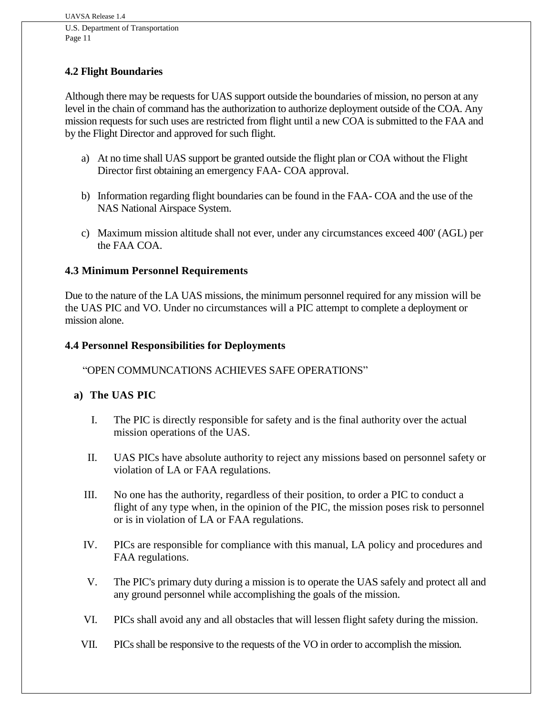# **4.2 Flight Boundaries**

Although there may be requests for UAS support outside the boundaries of mission, no person at any level in the chain of command has the authorization to authorize deployment outside of the COA. Any mission requests for such uses are restricted from flight until a new COA is submitted to the FAA and by the Flight Director and approved for such flight.

- a) At no time shall UAS support be granted outside the flight plan or COA without the Flight Director first obtaining an emergency FAA- COA approval.
- b) Information regarding flight boundaries can be found in the FAA- COA and the use of the NAS National Airspace System.
- c) Maximum mission altitude shall not ever, under any circumstances exceed 400' (AGL) per the FAA COA.

# **4.3 Minimum Personnel Requirements**

Due to the nature of the LA UAS missions, the minimum personnel required for any mission will be the UAS PIC and VO. Under no circumstances will a PIC attempt to complete a deployment or mission alone.

#### **4.4 Personnel Responsibilities for Deployments**

"OPEN COMMUNCATIONS ACHIEVES SAFE OPERATIONS"

#### **a) The UAS PIC**

- I. The PIC is directly responsible for safety and is the final authority over the actual mission operations of the UAS.
- II. UAS PICs have absolute authority to reject any missions based on personnel safety or violation of LA or FAA regulations.
- III. No one has the authority, regardless of their position, to order a PIC to conduct a flight of any type when, in the opinion of the PIC, the mission poses risk to personnel or is in violation of LA or FAA regulations.
- IV. PICs are responsible for compliance with this manual, LA policy and procedures and FAA regulations.
- V. The PIC's primary duty during a mission is to operate the UAS safely and protect all and any ground personnel while accomplishing the goals of the mission.
- VI. PICs shall avoid any and all obstacles that will lessen flight safety during the mission.
- VII. PICs shall be responsive to the requests of the VO in order to accomplish the mission.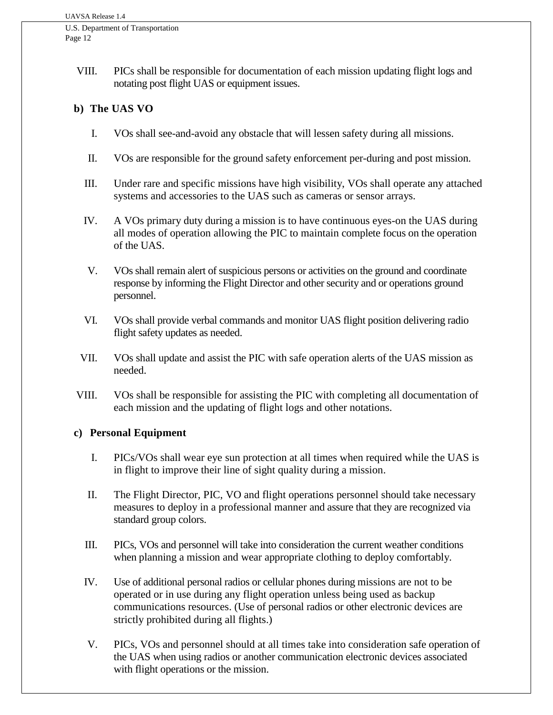> VIII. PICs shall be responsible for documentation of each mission updating flight logs and notating post flight UAS or equipment issues.

#### **b) The UAS VO**

- I. VOs shall see-and-avoid any obstacle that will lessen safety during all missions.
- II. VOs are responsible for the ground safety enforcement per-during and post mission.
- III. Under rare and specific missions have high visibility, VOs shall operate any attached systems and accessories to the UAS such as cameras or sensor arrays.
- IV. A VOs primary duty during a mission is to have continuous eyes-on the UAS during all modes of operation allowing the PIC to maintain complete focus on the operation of the UAS.
- V. VOs shall remain alert of suspicious persons or activities on the ground and coordinate response by informing the Flight Director and other security and or operations ground personnel.
- VI. VOs shall provide verbal commands and monitor UAS flight position delivering radio flight safety updates as needed.
- VII. VOs shall update and assist the PIC with safe operation alerts of the UAS mission as needed.
- VIII. VOs shall be responsible for assisting the PIC with completing all documentation of each mission and the updating of flight logs and other notations.

#### **c) Personal Equipment**

- I. PICs/VOs shall wear eye sun protection at all times when required while the UAS is in flight to improve their line of sight quality during a mission.
- II. The Flight Director, PIC, VO and flight operations personnel should take necessary measures to deploy in a professional manner and assure that they are recognized via standard group colors.
- III. PICs, VOs and personnel will take into consideration the current weather conditions when planning a mission and wear appropriate clothing to deploy comfortably.
- IV. Use of additional personal radios or cellular phones during missions are not to be operated or in use during any flight operation unless being used as backup communications resources. (Use of personal radios or other electronic devices are strictly prohibited during all flights.)
- V. PICs, VOs and personnel should at all times take into consideration safe operation of the UAS when using radios or another communication electronic devices associated with flight operations or the mission.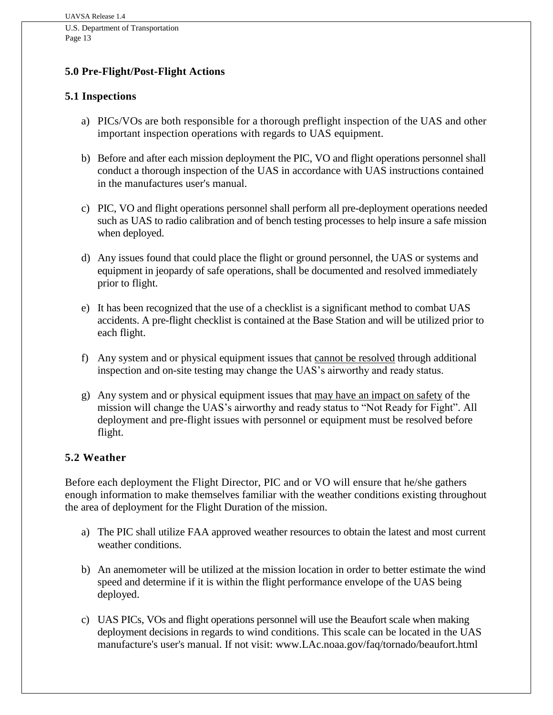#### **5.0 Pre-Flight/Post-Flight Actions**

## **5.1 Inspections**

- a) PICs/VOs are both responsible for a thorough preflight inspection of the UAS and other important inspection operations with regards to UAS equipment.
- b) Before and after each mission deployment the PIC, VO and flight operations personnel shall conduct a thorough inspection of the UAS in accordance with UAS instructions contained in the manufactures user's manual.
- c) PIC, VO and flight operations personnel shall perform all pre-deployment operations needed such as UAS to radio calibration and of bench testing processes to help insure a safe mission when deployed.
- d) Any issues found that could place the flight or ground personnel, the UAS or systems and equipment in jeopardy of safe operations, shall be documented and resolved immediately prior to flight.
- e) It has been recognized that the use of a checklist is a significant method to combat UAS accidents. A pre-flight checklist is contained at the Base Station and will be utilized prior to each flight.
- f) Any system and or physical equipment issues that cannot be resolved through additional inspection and on-site testing may change the UAS's airworthy and ready status.
- g) Any system and or physical equipment issues that may have an impact on safety of the mission will change the UAS's airworthy and ready status to "Not Ready for Fight". All deployment and pre-flight issues with personnel or equipment must be resolved before flight.

#### **5.2 Weather**

Before each deployment the Flight Director, PIC and or VO will ensure that he/she gathers enough information to make themselves familiar with the weather conditions existing throughout the area of deployment for the Flight Duration of the mission.

- a) The PIC shall utilize FAA approved weather resources to obtain the latest and most current weather conditions.
- b) An anemometer will be utilized at the mission location in order to better estimate the wind speed and determine if it is within the flight performance envelope of the UAS being deployed.
- c) UAS PICs, VOs and flight operations personnel will use the Beaufort scale when making deployment decisions in regards to wind conditions. This scale can be located in the UAS manufacture's user's manual. If not visit: www.LAc.noaa.gov/faq/tornado/beaufort.html